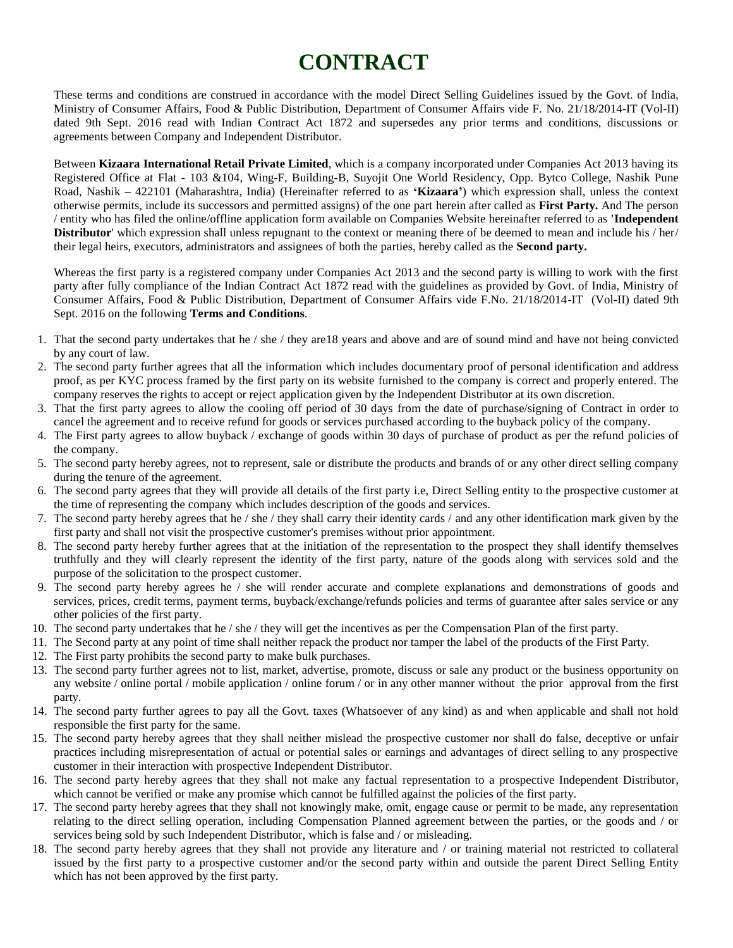## **CONTRACT**

These terms and conditions are construed in accordance with the model Direct Selling Guidelines issued by the Govt. of India, Ministry of Consumer Affairs, Food & Public Distribution, Department of Consumer Affairs vide F. No. 21/18/2014-IT (Vol-II) dated 9th Sept. 2016 read with Indian Contract Act 1872 and supersedes any prior terms and conditions, discussions or agreements between Company and Independent Distributor.

Between **Kizaara International Retail Private Limited**, which is a company incorporated under Companies Act 2013 having its Registered Office at Flat - 103 &104, Wing-F, Building-B, Suyojit One World Residency, Opp. Bytco College, Nashik Pune Road, Nashik – 422101 (Maharashtra, India) (Hereinafter referred to as **'Kizaara'**) which expression shall, unless the context otherwise permits, include its successors and permitted assigns) of the one part herein after called as **First Party.** And The person / entity who has filed the online/offline application form available on Companies Website hereinafter referred to as **'Independent Distributor'** which expression shall unless repugnant to the context or meaning there of be deemed to mean and include his / her/ their legal heirs, executors, administrators and assignees of both the parties, hereby called as the **Second party.**

Whereas the first party is a registered company under Companies Act 2013 and the second party is willing to work with the first party after fully compliance of the Indian Contract Act 1872 read with the guidelines as provided by Govt. of India, Ministry of Consumer Affairs, Food & Public Distribution, Department of Consumer Affairs vide F.No. 21/18/2014-IT (Vol-II) dated 9th Sept. 2016 on the following **Terms and Conditions**.

- 1. That the second party undertakes that he / she / they are18 years and above and are of sound mind and have not being convicted by any court of law.
- 2. The second party further agrees that all the information which includes documentary proof of personal identification and address proof, as per KYC process framed by the first party on its website furnished to the company is correct and properly entered. The company reserves the rights to accept or reject application given by the Independent Distributor at its own discretion.
- 3. That the first party agrees to allow the cooling off period of 30 days from the date of purchase/signing of Contract in order to cancel the agreement and to receive refund for goods or services purchased according to the buyback policy of the company.
- 4. The First party agrees to allow buyback / exchange of goods within 30 days of purchase of product as per the refund policies of the company.
- 5. The second party hereby agrees, not to represent, sale or distribute the products and brands of or any other direct selling company during the tenure of the agreement.
- 6. The second party agrees that they will provide all details of the first party i.e, Direct Selling entity to the prospective customer at the time of representing the company which includes description of the goods and services.
- 7. The second party hereby agrees that he / she / they shall carry their identity cards / and any other identification mark given by the first party and shall not visit the prospective customer's premises without prior appointment.
- 8. The second party hereby further agrees that at the initiation of the representation to the prospect they shall identify themselves truthfully and they will clearly represent the identity of the first party, nature of the goods along with services sold and the purpose of the solicitation to the prospect customer.
- 9. The second party hereby agrees he / she will render accurate and complete explanations and demonstrations of goods and services, prices, credit terms, payment terms, buyback/exchange/refunds policies and terms of guarantee after sales service or any other policies of the first party.
- 10. The second party undertakes that he / she / they will get the incentives as per the Compensation Plan of the first party.
- 11. The Second party at any point of time shall neither repack the product nor tamper the label of the products of the First Party.
- 12. The First party prohibits the second party to make bulk purchases.
- 13. The second party further agrees not to list, market, advertise, promote, discuss or sale any product or the business opportunity on any website / online portal / mobile application / online forum / or in any other manner without the prior approval from the first party.
- 14. The second party further agrees to pay all the Govt. taxes (Whatsoever of any kind) as and when applicable and shall not hold responsible the first party for the same.
- 15. The second party hereby agrees that they shall neither mislead the prospective customer nor shall do false, deceptive or unfair practices including misrepresentation of actual or potential sales or earnings and advantages of direct selling to any prospective customer in their interaction with prospective Independent Distributor.
- 16. The second party hereby agrees that they shall not make any factual representation to a prospective Independent Distributor, which cannot be verified or make any promise which cannot be fulfilled against the policies of the first party.
- 17. The second party hereby agrees that they shall not knowingly make, omit, engage cause or permit to be made, any representation relating to the direct selling operation, including Compensation Planned agreement between the parties, or the goods and / or services being sold by such Independent Distributor, which is false and / or misleading.
- 18. The second party hereby agrees that they shall not provide any literature and / or training material not restricted to collateral issued by the first party to a prospective customer and/or the second party within and outside the parent Direct Selling Entity which has not been approved by the first party.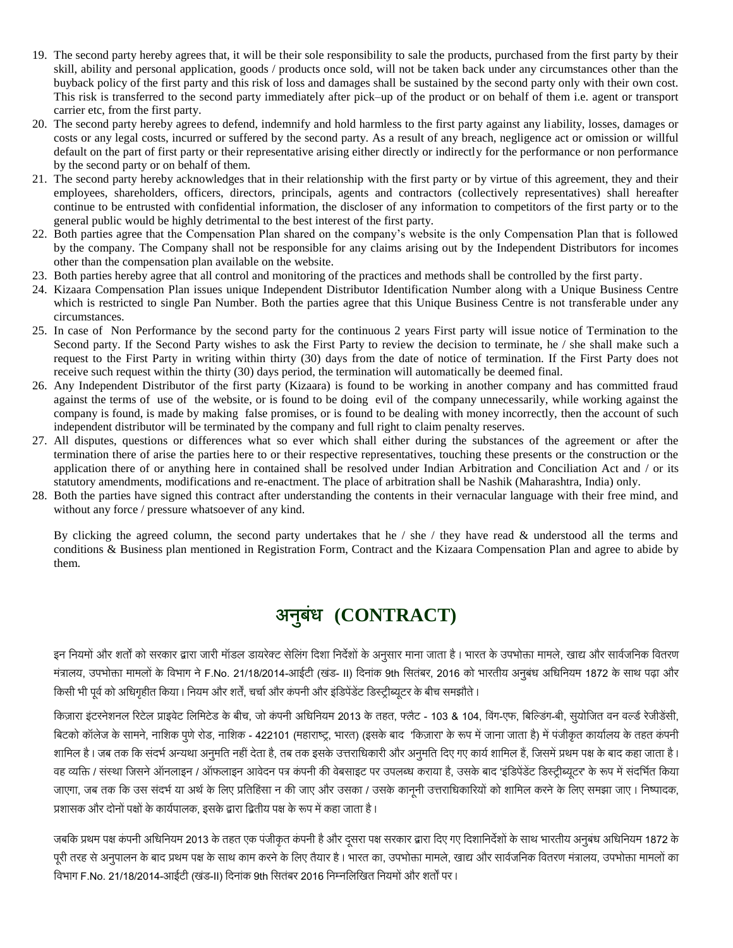- 19. The second party hereby agrees that, it will be their sole responsibility to sale the products, purchased from the first party by their skill, ability and personal application, goods / products once sold, will not be taken back under any circumstances other than the buyback policy of the first party and this risk of loss and damages shall be sustained by the second party only with their own cost. This risk is transferred to the second party immediately after pick–up of the product or on behalf of them i.e. agent or transport carrier etc, from the first party.
- 20. The second party hereby agrees to defend, indemnify and hold harmless to the first party against any liability, losses, damages or costs or any legal costs, incurred or suffered by the second party. As a result of any breach, negligence act or omission or willful default on the part of first party or their representative arising either directly or indirectly for the performance or non performance by the second party or on behalf of them.
- 21. The second party hereby acknowledges that in their relationship with the first party or by virtue of this agreement, they and their employees, shareholders, officers, directors, principals, agents and contractors (collectively representatives) shall hereafter continue to be entrusted with confidential information, the discloser of any information to competitors of the first party or to the general public would be highly detrimental to the best interest of the first party.
- 22. Both parties agree that the Compensation Plan shared on the company's website is the only Compensation Plan that is followed by the company. The Company shall not be responsible for any claims arising out by the Independent Distributors for incomes other than the compensation plan available on the website.
- 23. Both parties hereby agree that all control and monitoring of the practices and methods shall be controlled by the first party.
- 24. Kizaara Compensation Plan issues unique Independent Distributor Identification Number along with a Unique Business Centre which is restricted to single Pan Number. Both the parties agree that this Unique Business Centre is not transferable under any circumstances.
- 25. In case of Non Performance by the second party for the continuous 2 years First party will issue notice of Termination to the Second party. If the Second Party wishes to ask the First Party to review the decision to terminate, he / she shall make such a request to the First Party in writing within thirty (30) days from the date of notice of termination. If the First Party does not receive such request within the thirty (30) days period, the termination will automatically be deemed final.
- 26. Any Independent Distributor of the first party (Kizaara) is found to be working in another company and has committed fraud against the terms of use of the website, or is found to be doing evil of the company unnecessarily, while working against the company is found, is made by making false promises, or is found to be dealing with money incorrectly, then the account of such independent distributor will be terminated by the company and full right to claim penalty reserves.
- 27. All disputes, questions or differences what so ever which shall either during the substances of the agreement or after the termination there of arise the parties here to or their respective representatives, touching these presents or the construction or the application there of or anything here in contained shall be resolved under Indian Arbitration and Conciliation Act and / or its statutory amendments, modifications and re-enactment. The place of arbitration shall be Nashik (Maharashtra, India) only.
- 28. Both the parties have signed this contract after understanding the contents in their vernacular language with their free mind, and without any force / pressure whatsoever of any kind.

By clicking the agreed column, the second party undertakes that he  $/$  she  $/$  they have read  $\&$  understood all the terms and conditions & Business plan mentioned in Registration Form, Contract and the Kizaara Compensation Plan and agree to abide by them.

## **(CONTRACT)**

इन नियमों और शर्तों को सरकार द्वारा जारी मॉडल डायरेक्ट सेलिंग दिशा निर्देशों के अनुसार माना जाता है। भारत के उपभोक्ता मामले, खाद्य और सार्वजनिक वितरण मंत्रालय, उपभोक्ता मामलों के विभाग ने F.No. 21/18/2014-आईटी (खंड- II) दिनांक 9th सितंबर, 2016 को भारतीय अनुबंध अधिनियम 1872 के साथ पढ़ा और किसी भी पूर्व को अधिगृहीत किया। नियम और शर्तें, चर्चा और कंपनी और इंडिपेंडेंट डिस्ट्रीब्यूटर के बीच समझौते।

किज़ारा इंटरनेशनल रिटेल प्राइवेट लिमिटेड के बीच, जो कंपनी अधिनियम 2013 के तहत, फ्लैट - 103 & 104, विंग-एफ, बिल्डिंग-बी, सुयोजित वन वर्ल्ड रेजीडेंसी, बिटको कॉलेज के सामने, नाशिक पुणे रोड, नाशिक - 422101 (महाराष्ट्र, भारत) (इसके बाद 'किज़ारा' के रूप में जाना जाता है) में पंजीकृत कार्यालय के तहत कंपनी शामिल है। जब तक कि संदर्भ अन्यथा अनुमति नहीं देता है, तब तक इसके उत्तराधिकारी और अनुमति दिए गए कार्य शामिल हैं, जिसमें प्रथम पक्ष के बाद कहा जाता है। वह व्यक्ति / संस्था जिसने ऑनलाइन / ऑफलाइन आवेदन पत्र कंपनी की वेबसाइट पर उपलब्ध कराया है, उसके बाद 'इंडिपेंडेंट डिस्ट्रीब्यूटर' के रूप में संदर्भित किया जाएगा, जब तक कि उस संदर्भ या अर्थ के लिए प्रतिहिंसा न की जाए और उसका / उसके कानूनी उत्तराधिकारियों को शामिल करने के लिए समझा जाए । निष्पादक, प्रशासक और दोनों पक्षों के कार्यपालक, इसके द्वारा द्वितीय पक्ष के रूप में कहा जाता है।

जबकि प्रथम पक्ष कंपनी अधिनियम 2013 के तहत एक पंजीकृत कंपनी है और दसरा पक्ष सरकार द्वारा दिए गए दिशानिर्देशों के साथ भारतीय अनुबंध अधिनियम 1872 के पूरी तरह से अनुपालन के बाद प्रथम पक्ष के साथ काम करने के लिए तैयार है । भारत का, उपभोक्ता मामले, खाद्य और सार्वजनिक वितरण मंत्रालय, उपभोक्ता मामलों का विभाग F.No. 21/18/2014-आईटी (खंड-II) दिनांक 9th सितंबर 2016 निम्नलिखित नियमों और शर्तों पर ।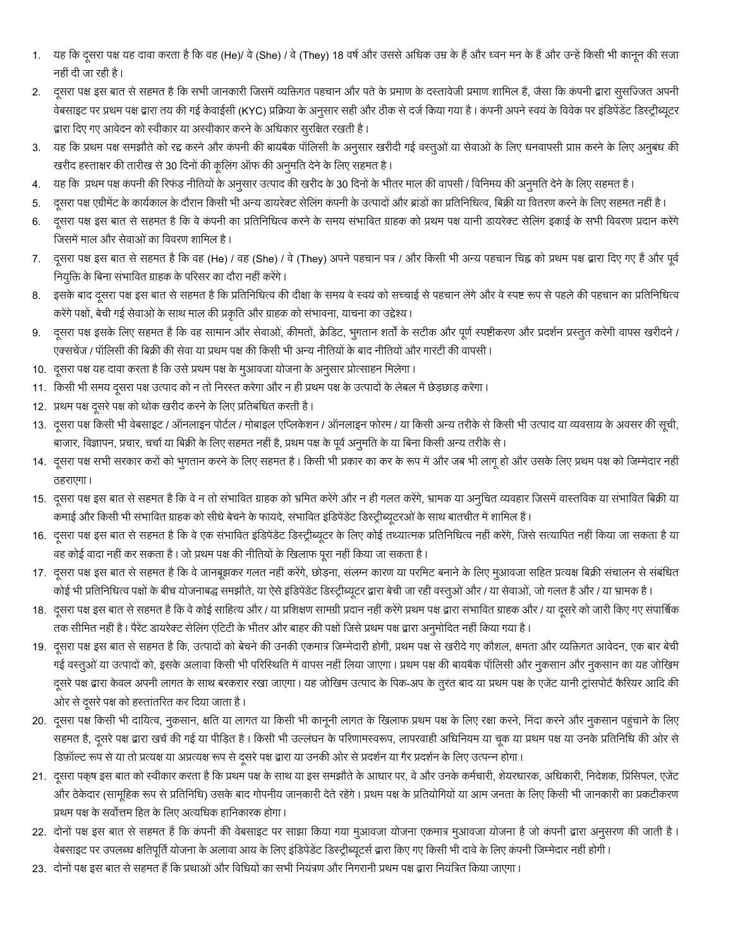- 1. यह कि दूसरा पक्ष यह दावा करता है कि वह (He)/ वे (She) / वे (They) 18 वर्ष और उससे अधिक उम्र के हैं और ध्वन मन के हैं और उन्हें किसी भी कानून की सजा नहीं दी जा रही है।
- 2. दूसरा पक्ष इस बात से सहमत है कि सभी जानकारी जिसमें व्यक्तिगत पहचान और पते के प्रमाण के दस्तावेजी प्रमाण शामिल हैं, जैसा कि कंपनी द्वारा सुसज्जित अपनी वेबसाइट पर प्रथम पक्ष द्वारा तय की गई केवाईसी (KYC) प्रक्रिया के अनुसार सही और ठीक से दर्ज किया गया है । कंपनी अपने स्वयं के विवेक पर इंडिपेंडेंट डिस्ट्रीब्यूटर द्वारा दिए गए आवेदन को स्वीकार या अस्वीकार करने के अधिकार सूरक्षित रखती है।
- 3. यह कि प्रथम पक्ष समझौते को रद्द करने और कंपनी की बायबैक पॉलिसी के अनुसार खरीदी गई वस्तुओं या सेवाओं के लिए धनवापसी प्राप्त करने के लिए अनुबंध की खरीद हस्ताक्षर की तारीख से 30 दिनों की कूलिंग ऑफ की अनुमति देने के लिए सहमत है।
- 4. यह कि प्रथम पक्ष कंपनी की रिफंड नीतियों के अनुसार उत्पाद की खरीद के 30 दिनों के भीतर माल की वापसी / विनिमय की अनुमति देने के लिए सहमत है।
- 5. दूसरा पक्ष एग्रीमेंट के कार्यकाल के दौरान किसी भी अन्य डायरेक्ट सेलिंग कंपनी के उत्पादों और ब्रांडों का प्रतिनिधित्व, बिक्री या वितरण करने के लिए सहमत नहीं है।
- 6. दूसरा पक्ष इस बात से सहमत है कि वे कंपनी का प्रतिनिधित्व करने के समय संभावित ग्राहक को प्रथम पक्ष यानी डायरेक्ट सेलिंग इकाई के सभी विवरण प्रदान करेंगे जिसमें माल और सेवाओं का विवरण शामिल है।
- 7. दूसरा पक्ष इस बात से सहमत है कि वह (He) / वह (She) / वे (They) अपने पहचान पत्र / और किसी भी अन्य पहचान चिह्न को प्रथम पक्ष द्वारा दिए गए हैं और पूर्व नियुक्ति के बिना संभावित ग्राहक के परिसर का दौरा नहीं करेंगे।
- 8. इसके बाद दूसरा पक्ष इस बात से सहमत है कि प्रतिनिधित्व की दीक्षा के समय वे स्वयं को सच्चाई से पहचान लेंगे और वे स्पष्ट रूप से पहले की पहचान का प्रतिनिधित्व करेंगे पक्षों, बेची गई सेवाओं के साथ माल की प्रकृति और ग्राहक को संभावना, याचना का उद्देश्य ।
- 9. दूसरा पक्ष इसके लिए सहमत है कि वह सामान और सेवाओं, कीमतों, क्रेडिट, भुगतान शर्तों के सटीक और पूर्ण स्पष्टीकरण और प्रदर्शन प्रस्तुत करेगी वापस खरीदने / एक्सचेंज / पॉलिसी की बिक्री की सेवा या प्रथम पक्ष की किसी भी अन्य नीतियों के बाद नीतियों और गारंटी की वापसी ।
- 10. दूसरा पक्ष यह दावा करता है कि उसे प्रथम पक्ष के मुआवजा योजना के अनुसार प्रोत्साहन मिलेगा।
- 11. किसी भी समय दूसरा पक्ष उत्पाद को न तो निरस्त करेगा और न ही प्रथम पक्ष के उत्पादों के लेबल में छेड़छाड़ करेगा।
- 12. प्रथम पक्ष दूसरे पक्ष को थोक खरीद करने के लिए प्रतिबंधित करती है।
- 13. दूसरा पक्ष किसी भी वेबसाइट / ऑनलाइन पोर्टल / मोबाइल एप्लिकेशन / ऑनलाइन फोरम / या किसी अन्य तरीके से किसी भी उत्पाद या व्यवसाय के अवसर की सूची, बाजार, विज्ञापन, प्रचार, चर्चा या बिक्री के लिए सहमत नहीं है, प्रथम पक्ष के पूर्व अनुमति के या बिना किसी अन्य तरीके से ।
- 14. दूसरा पक्ष सभी सरकार करों को भुगतान करने के लिए सहमत है। किसी भी प्रकार का कर के रूप में और जब भी लागू हो और उसके लिए प्रथम पक्ष को जिम्मेदार नहीं ठहराएगा।
- 15. दूसरा पक्ष इस बात से सहमत है कि वे न तो संभावित ग्राहक को भ्रमित करेंगे और न ही गलत करेंगे, भ्रामक या अनुचित व्यवहार जिसमें वास्तविक या संभावित बिक्री या कमाई और किसी भी संभावित ग्राहक को सीधे बेचने के फायदे, संभावित इंडिपेंडेंट डिस्ट्रीब्यूटरओं के साथ बातचीत में शामिल हैं ।
- 16. दूसरा पक्ष इस बात से सहमत है कि वे एक संभावित इंडिपेंडेंट डिस्ट्रीब्यूटर के लिए कोई तथ्यात्मक प्रतिनिधित्व नहीं करेंगे, जिसे सत्यापित नहीं किया जा सकता है या वह कोई वादा नहीं कर सकता है । जो प्रथम पक्ष की नीतियों के खिलाफ पूरा नहीं किया जा सकता है ।
- 17. दूसरा पक्ष इस बात से सहमत है कि वे जानबूझकर गलत नहीं करेंगे, छोड़ना, संलग्न कारण या परमिट बनाने के लिए मुआवजा सहित प्रत्यक्ष बिक्री संचालन से संबंधित कोई भी प्रतिनिधित्व पक्षों के बीच योजनाबद्ध समझौते, या ऐसे इंडिपेंडेंट डिस्ट्रीब्यूटर द्वारा बेची जा रही वस्तुओं और / या सेवाओं, जो गलत है और / या भ्रामक है ।
- 18. दूसरा पक्ष इस बात से सहमत है कि वे कोई साहित्य और / या प्रशिक्षण सामग्री प्रदान नहीं करेंगे प्रथम पक्ष द्वारा संभावित ग्राहक और / या दूसरे को जारी किए गए संपार्शिक तक सीमित नहीं है। पैरेंट डायरेक्ट सेलिंग एंटिटी के भीतर और बाहर की पक्षों जिसे प्रथम पक्ष द्वारा अनुमोदित नहीं किया गया है।
- 19. दूसरा पक्ष इस बात से सहमत है कि, उत्पादों को बेचने की उनकी एकमात्र जिम्मेदारी होगी, प्रथम पक्ष से खरीदे गए कौशल, क्षमता और व्यक्तिगत आवेदन, एक बार बेची गई वस्तुओं या उत्पादों को, इसके अलावा किसी भी परिस्थिति में वापस नहीं लिया जाएगा। प्रथम पक्ष की बायबैक पॉलिसी और नुकसान और नुकसान का यह जोखिम दूसरे पक्ष द्वारा केवल अपनी लागत के साथ बरकरार रखा जाएगा । यह जोखिम उत्पाद के पिक-अप के तुरंत बाद या प्रथम पक्ष के एजेंट यानी ट्रांसपोर्ट कैरियर आदि की ओर से दूसरे पक्ष को हस्तांतरित कर दिया जाता है।
- 20. दूसरा पक्ष किसी भी दायित्व, नुकसान, क्षति या लागत या किसी भी कानूनी लागत के खिलाफ प्रथम पक्ष के लिए रक्षा करने, निंदा करने और नुकसान पहुंचाने के लिए सहमत है, दूसरे पक्ष द्वारा खर्च की गई या पीड़ित है । किसी भी उल्लंघन के परिणामस्वरूप, लापरवाही अधिनियम या चूक या प्रथम पक्ष या उनके प्रतिनिधि की ओर से डिफ़ॉल्ट रूप से या तो प्रत्यक्ष या अप्रत्यक्ष रूप से दूसरे पक्ष द्वारा या उनकी ओर से प्रदर्शन या गैर प्रदर्शन के लिए उत्पन्न होगा।
- 21. दूसरा पक्ष इस बात को स्वीकार करता है कि प्रथम पक्ष के साथ या इस समझौते के आधार पर, वे और उनके कर्मचारी, शेयरधारक, अधिकारी, निदेशक, प्रिंसिपल, एजेंट और ठेकेदार (सामूहिक रूप से प्रतिनिधि) उसके बाद गोपनीय जानकारी देते रहेंगे । प्रथम पक्ष के प्रतियोगियों या आम जनता के लिए किसी भी जानकारी का प्रकटीकरण प्रथम पक्ष के सर्वोत्तम हित के लिए अत्यधिक हानिकारक होगा।
- 22. दोनों पक्ष इस बात से सहमत हैं कि कंपनी की वेबसाइट पर साझा किया गया मुआवजा योजना आजना है जो कंपनी द्वारा अनुसरण की जाती है। वेबसाइट पर उपलब्ध क्षतिपूर्ति योजना के अलावा आय के लिए इंडिपेंडेंट डिस्ट्रीब्यूटर्स द्वारा किए गए किसी भी दावे के लिए कंपनी जिम्मेदार नहीं होगी।
- 23. दोनों पक्ष इस बात से सहमत हैं कि प्रथाओं और विधियों का सभी नियंत्रण और निगरानी प्रथम पक्ष द्वारा नियंत्रित किया जाएगा।